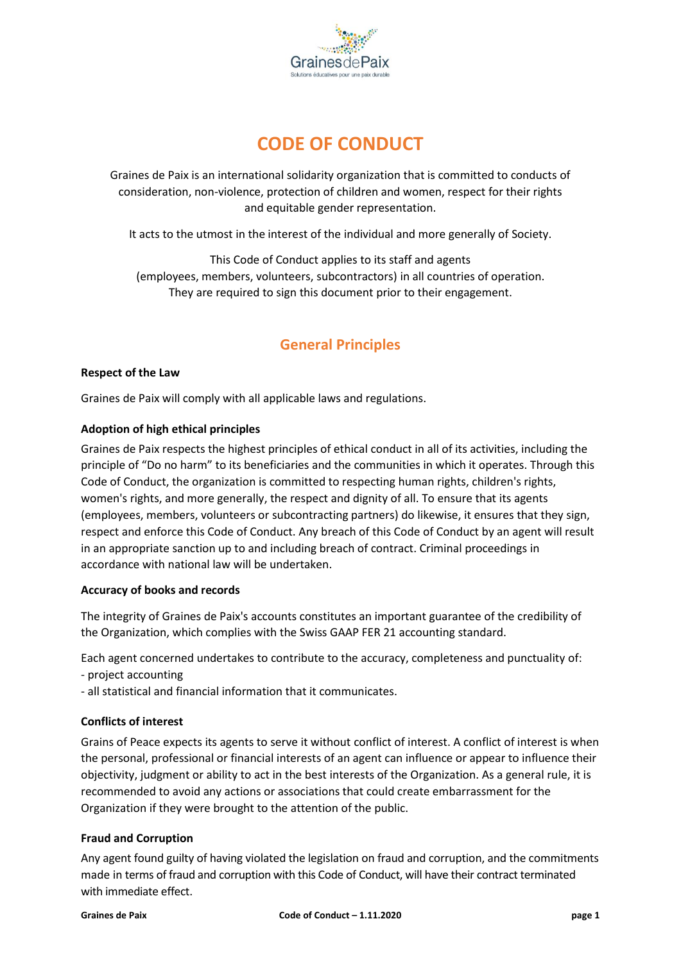

# **CODE OF CONDUCT**

Graines de Paix is an international solidarity organization that is committed to conducts of consideration, non-violence, protection of children and women, respect for their rights and equitable gender representation.

It acts to the utmost in the interest of the individual and more generally of Society.

This Code of Conduct applies to its staff and agents (employees, members, volunteers, subcontractors) in all countries of operation. They are required to sign this document prior to their engagement.

## **General Principles**

#### **Respect of the Law**

Graines de Paix will comply with all applicable laws and regulations.

#### **Adoption of high ethical principles**

Graines de Paix respects the highest principles of ethical conduct in all of its activities, including the principle of "Do no harm" to its beneficiaries and the communities in which it operates. Through this Code of Conduct, the organization is committed to respecting human rights, children's rights, women's rights, and more generally, the respect and dignity of all. To ensure that its agents (employees, members, volunteers or subcontracting partners) do likewise, it ensures that they sign, respect and enforce this Code of Conduct. Any breach of this Code of Conduct by an agent will result in an appropriate sanction up to and including breach of contract. Criminal proceedings in accordance with national law will be undertaken.

#### **Accuracy of books and records**

The integrity of Graines de Paix's accounts constitutes an important guarantee of the credibility of the Organization, which complies with the Swiss GAAP FER 21 accounting standard.

Each agent concerned undertakes to contribute to the accuracy, completeness and punctuality of:

- project accounting
- all statistical and financial information that it communicates.

#### **Conflicts of interest**

Grains of Peace expects its agents to serve it without conflict of interest. A conflict of interest is when the personal, professional or financial interests of an agent can influence or appear to influence their objectivity, judgment or ability to act in the best interests of the Organization. As a general rule, it is recommended to avoid any actions or associations that could create embarrassment for the Organization if they were brought to the attention of the public.

#### **Fraud and Corruption**

Any agent found guilty of having violated the legislation on fraud and corruption, and the commitments made in terms of fraud and corruption with this Code of Conduct, will have their contract terminated with immediate effect.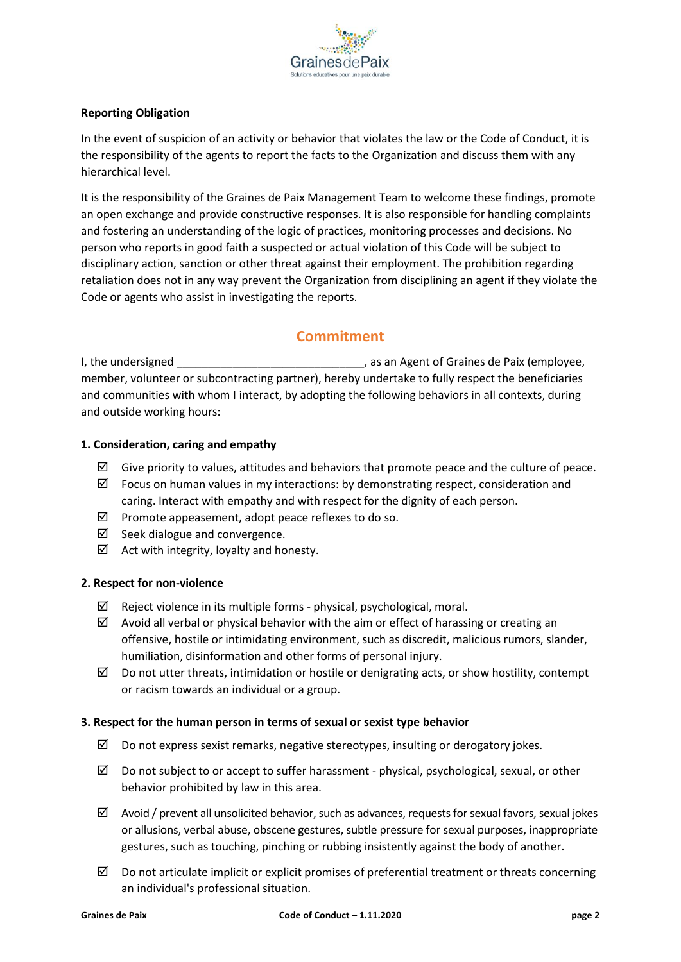

#### **Reporting Obligation**

In the event of suspicion of an activity or behavior that violates the law or the Code of Conduct, it is the responsibility of the agents to report the facts to the Organization and discuss them with any hierarchical level.

It is the responsibility of the Graines de Paix Management Team to welcome these findings, promote an open exchange and provide constructive responses. It is also responsible for handling complaints and fostering an understanding of the logic of practices, monitoring processes and decisions. No person who reports in good faith a suspected or actual violation of this Code will be subject to disciplinary action, sanction or other threat against their employment. The prohibition regarding retaliation does not in any way prevent the Organization from disciplining an agent if they violate the Code or agents who assist in investigating the reports.

### **Commitment**

I, the undersigned The unit of Graines de Paix (employee, member, volunteer or subcontracting partner), hereby undertake to fully respect the beneficiaries and communities with whom I interact, by adopting the following behaviors in all contexts, during and outside working hours:

#### **1. Consideration, caring and empathy**

- $\boxtimes$  Give priority to values, attitudes and behaviors that promote peace and the culture of peace.
- $\boxtimes$  Focus on human values in my interactions: by demonstrating respect, consideration and caring. Interact with empathy and with respect for the dignity of each person.
- $\boxtimes$  Promote appeasement, adopt peace reflexes to do so.
- $\boxtimes$  Seek dialogue and convergence.
- $\boxtimes$  Act with integrity, loyalty and honesty.

#### **2. Respect for non-violence**

- $\boxtimes$  Reject violence in its multiple forms physical, psychological, moral.
- $\boxtimes$  Avoid all verbal or physical behavior with the aim or effect of harassing or creating an offensive, hostile or intimidating environment, such as discredit, malicious rumors, slander, humiliation, disinformation and other forms of personal injury.
- $\boxtimes$  Do not utter threats, intimidation or hostile or denigrating acts, or show hostility, contempt or racism towards an individual or a group.

#### **3. Respect for the human person in terms of sexual or sexist type behavior**

- $\boxtimes$  Do not express sexist remarks, negative stereotypes, insulting or derogatory jokes.
- $\boxtimes$  Do not subject to or accept to suffer harassment physical, psychological, sexual, or other behavior prohibited by law in this area.
- $\boxtimes$  Avoid / prevent all unsolicited behavior, such as advances, requests for sexual favors, sexual jokes or allusions, verbal abuse, obscene gestures, subtle pressure for sexual purposes, inappropriate gestures, such as touching, pinching or rubbing insistently against the body of another.
- $\boxtimes$  Do not articulate implicit or explicit promises of preferential treatment or threats concerning an individual's professional situation.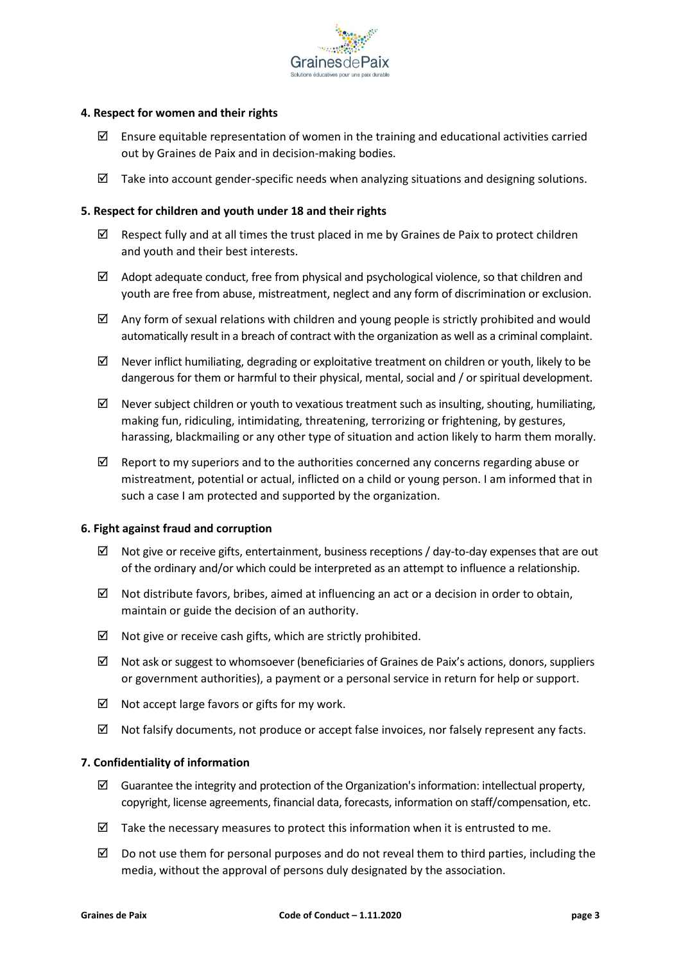

#### **4. Respect for women and their rights**

- $\boxtimes$  Ensure equitable representation of women in the training and educational activities carried out by Graines de Paix and in decision-making bodies.
- $\boxtimes$  Take into account gender-specific needs when analyzing situations and designing solutions.

#### **5. Respect for children and youth under 18 and their rights**

- $\boxtimes$  Respect fully and at all times the trust placed in me by Graines de Paix to protect children and youth and their best interests.
- $\boxtimes$  Adopt adequate conduct, free from physical and psychological violence, so that children and youth are free from abuse, mistreatment, neglect and any form of discrimination or exclusion.
- $\boxtimes$  Any form of sexual relations with children and young people is strictly prohibited and would automatically result in a breach of contract with the organization as well as a criminal complaint.
- $\boxtimes$  Never inflict humiliating, degrading or exploitative treatment on children or youth, likely to be dangerous for them or harmful to their physical, mental, social and / or spiritual development.
- $\boxtimes$  Never subject children or youth to vexatious treatment such as insulting, shouting, humiliating, making fun, ridiculing, intimidating, threatening, terrorizing or frightening, by gestures, harassing, blackmailing or any other type of situation and action likely to harm them morally.
- $\boxtimes$  Report to my superiors and to the authorities concerned any concerns regarding abuse or mistreatment, potential or actual, inflicted on a child or young person. I am informed that in such a case I am protected and supported by the organization.

#### **6. Fight against fraud and corruption**

- $\boxtimes$  Not give or receive gifts, entertainment, business receptions / day-to-day expenses that are out of the ordinary and/or which could be interpreted as an attempt to influence a relationship.
- $\boxtimes$  Not distribute favors, bribes, aimed at influencing an act or a decision in order to obtain, maintain or guide the decision of an authority.
- $\boxtimes$  Not give or receive cash gifts, which are strictly prohibited.
- $\boxtimes$  Not ask or suggest to whomsoever (beneficiaries of Graines de Paix's actions, donors, suppliers or government authorities), a payment or a personal service in return for help or support.
- $\boxtimes$  Not accept large favors or gifts for my work.
- $\boxtimes$  Not falsify documents, not produce or accept false invoices, nor falsely represent any facts.

#### **7. Confidentiality of information**

- $\boxtimes$  Guarantee the integrity and protection of the Organization's information: intellectual property, copyright, license agreements, financial data, forecasts, information on staff/compensation, etc.
- $\boxtimes$  Take the necessary measures to protect this information when it is entrusted to me.
- $\boxtimes$  Do not use them for personal purposes and do not reveal them to third parties, including the media, without the approval of persons duly designated by the association.